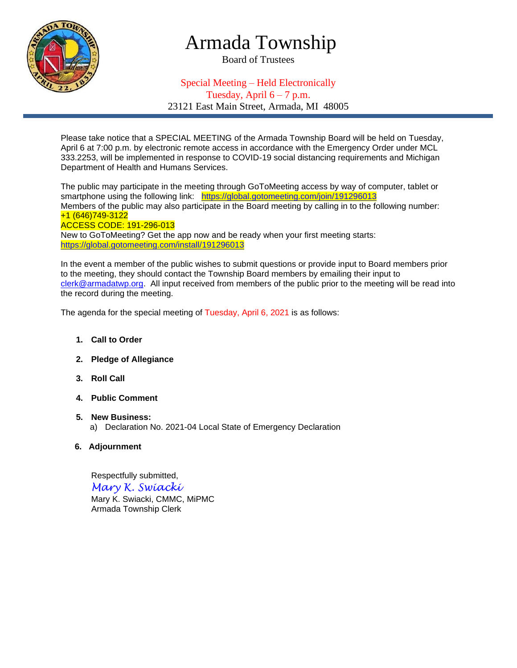

## Armada Township

Board of Trustees

## Special Meeting – Held Electronically

Tuesday, April  $6 - 7$  p.m.

23121 East Main Street, Armada, MI 48005

Please take notice that a SPECIAL MEETING of the Armada Township Board will be held on Tuesday, April 6 at 7:00 p.m. by electronic remote access in accordance with the Emergency Order under MCL 333.2253, will be implemented in response to COVID-19 social distancing requirements and Michigan Department of Health and Humans Services.

The public may participate in the meeting through GoToMeeting access by way of computer, tablet or smartphone using the following link: [https://global.gotomeeting.com/join/1](https://global.gotomeeting.com/join/)91296013 Members of the public may also participate in the Board meeting by calling in to the following number: +1 (646)749-3122 ACCESS CODE: 191-296-013 New to GoToMeeting? Get the app now and be ready when your first meeting starts: [https://global.gotomeeting.com/install/1](https://global.gotomeeting.com/install/)91296013

In the event a member of the public wishes to submit questions or provide input to Board members prior to the meeting, they should contact the Township Board members by emailing their input to [clerk@armadatwp.org.](mailto:clerk@armadatwp.org) All input received from members of the public prior to the meeting will be read into the record during the meeting.

The agenda for the special meeting of Tuesday, April 6, 2021 is as follows:

- **1. Call to Order**
- **2. Pledge of Allegiance**
- **3. Roll Call**
- **4. Public Comment**
- **5. New Business:**  a) Declaration No. 2021-04 Local State of Emergency Declaration
- **6. Adjournment**

 Respectfully submitted, *Mary K. Swiacki* Mary K. Swiacki, CMMC, MiPMC Armada Township Clerk